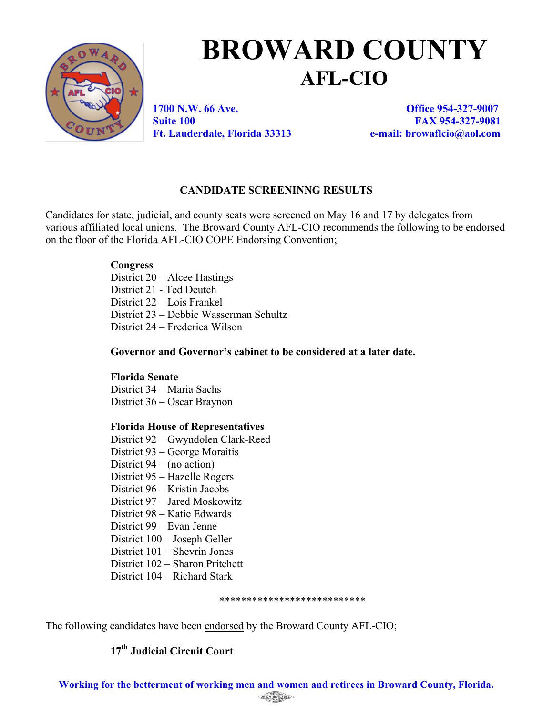

# **BROWARD COUNTY AFL-CIO**

**1700 N.W. 66 Ave. Office 954-327-9007 Suite 100 FAX 954-327-9081 Ft. Lauderdale, Florida 33313 e-mail: browaflcio@aol.com**

## **CANDIDATE SCREENINNG RESULTS**

Candidates for state, judicial, and county seats were screened on May 16 and 17 by delegates from various affiliated local unions. The Broward County AFL-CIO recommends the following to be endorsed on the floor of the Florida AFL-CIO COPE Endorsing Convention;

## **Congress**

District 20 – Alcee Hastings District 21 - Ted Deutch District 22 – Lois Frankel District 23 – Debbie Wasserman Schultz District 24 – Frederica Wilson

**Governor and Governor's cabinet to be considered at a later date.**

## **Florida Senate**

District 34 – Maria Sachs District 36 – Oscar Braynon

## **Florida House of Representatives**

District 92 – Gwyndolen Clark-Reed District 93 – George Moraitis District 94 – (no action) District 95 – Hazelle Rogers District 96 – Kristin Jacobs District 97 – Jared Moskowitz District 98 – Katie Edwards District 99 – Evan Jenne District 100 – Joseph Geller District 101 – Shevrin Jones District 102 – Sharon Pritchett District 104 – Richard Stark

#### \*\*\*\*\*\*\*\*\*\*\*\*\*\*\*\*\*\*\*\*\*\*\*\*\*\*\*

The following candidates have been endorsed by the Broward County AFL-CIO;

## **17th Judicial Circuit Court**